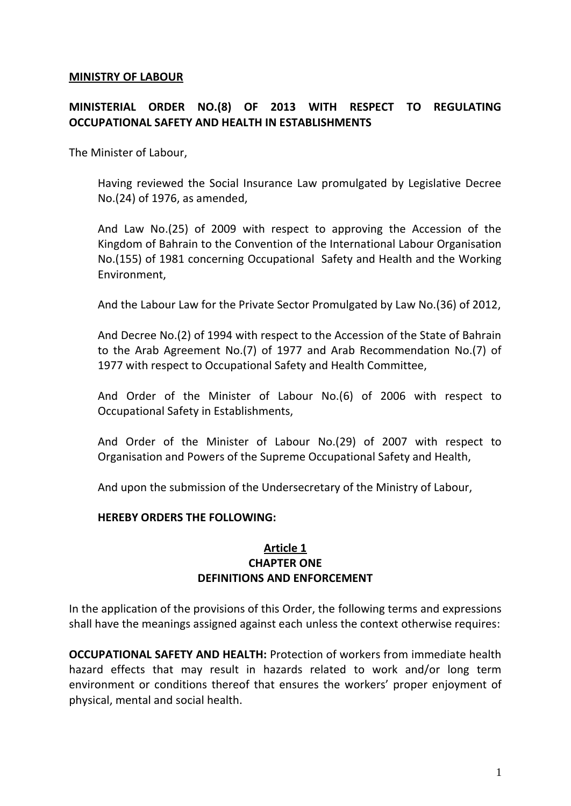#### **MINISTRY OF LABOUR**

# **MINISTERIAL ORDER NO.(8) OF 2013 WITH RESPECT TO REGULATING OCCUPATIONAL SAFETY AND HEALTH IN ESTABLISHMENTS**

The Minister of Labour,

Having reviewed the Social Insurance Law promulgated by Legislative Decree No.(24) of 1976, as amended,

And Law No.(25) of 2009 with respect to approving the Accession of the Kingdom of Bahrain to the Convention of the International Labour Organisation No.(155) of 1981 concerning Occupational Safety and Health and the Working Environment,

And the Labour Law for the Private Sector Promulgated by Law No.(36) of 2012,

And Decree No.(2) of 1994 with respect to the Accession of the State of Bahrain to the Arab Agreement No.(7) of 1977 and Arab Recommendation No.(7) of 1977 with respect to Occupational Safety and Health Committee,

And Order of the Minister of Labour No.(6) of 2006 with respect to Occupational Safety in Establishments,

And Order of the Minister of Labour No.(29) of 2007 with respect to Organisation and Powers of the Supreme Occupational Safety and Health,

And upon the submission of the Undersecretary of the Ministry of Labour,

#### **HEREBY ORDERS THE FOLLOWING:**

#### **Article 1 CHAPTER ONE DEFINITIONS AND ENFORCEMENT**

In the application of the provisions of this Order, the following terms and expressions shall have the meanings assigned against each unless the context otherwise requires:

**OCCUPATIONAL SAFETY AND HEALTH:** Protection of workers from immediate health hazard effects that may result in hazards related to work and/or long term environment or conditions thereof that ensures the workers' proper enjoyment of physical, mental and social health.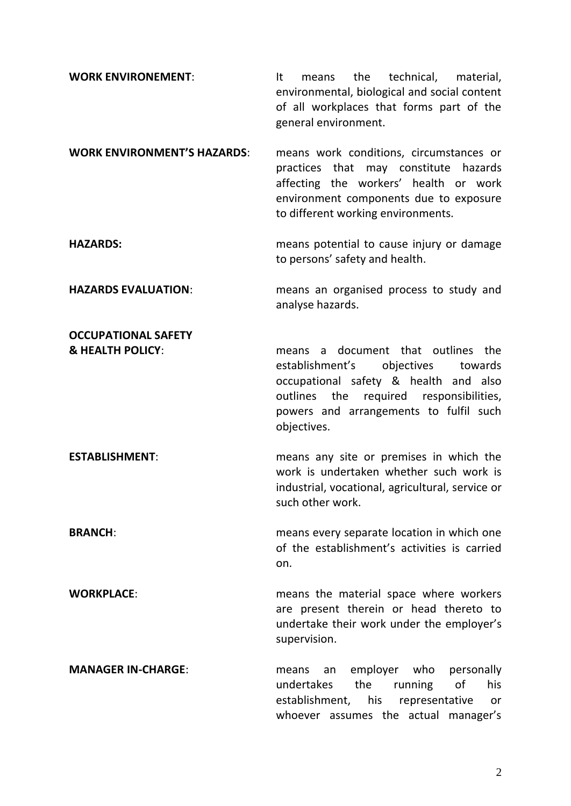**WORK ENVIRONEMENT:** It means the technical, material, environmental, biological and social content of all workplaces that forms part of the general environment. **WORK ENVIRONMENT'S HAZARDS**: means work conditions, circumstances or practices that may constitute hazards affecting the workers' health or work environment components due to exposure to different working environments. **HAZARDS:** means potential to cause injury or damage to persons' safety and health. **HAZARDS EVALUATION**: means an organised process to study and analyse hazards. **OCCUPATIONAL SAFETY & HEALTH POLICY**: means a document that outlines the establishment's objectives towards occupational safety & health and also outlines the required responsibilities, powers and arrangements to fulfil such objectives. **ESTABLISHMENT:** means any site or premises in which the work is undertaken whether such work is industrial, vocational, agricultural, service or such other work. **BRANCH: BRANCH:** means every separate location in which one of the establishment's activities is carried on. **WORKPLACE:** means the material space where workers are present therein or head thereto to undertake their work under the employer's supervision. **MANAGER IN-CHARGE:** means an employer who personally undertakes the running of his establishment, his representative or whoever assumes the actual manager's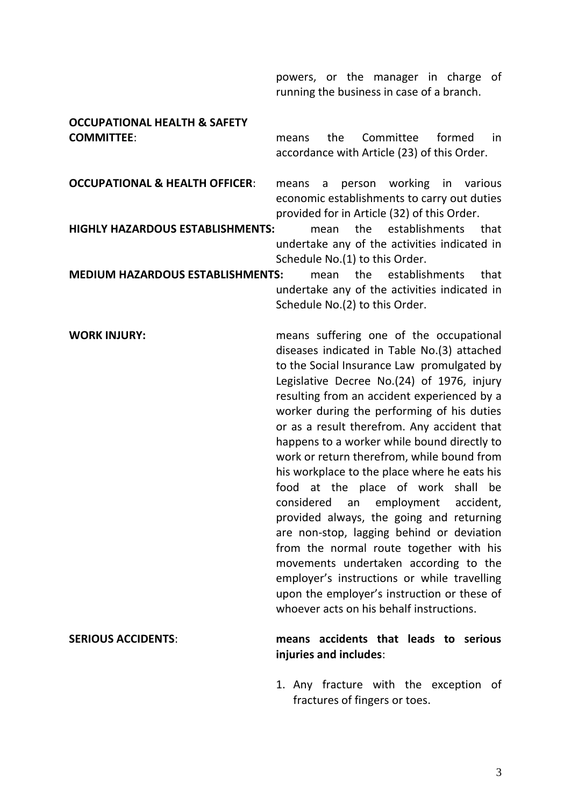powers, or the manager in charge of running the business in case of a branch.

# **OCCUPATIONAL HEALTH & SAFETY**

**COMMITTEE**: means the Committee formed in accordance with Article (23) of this Order.

**OCCUPATIONAL & HEALTH OFFICER:** means a person working in various economic establishments to carry out duties provided for in Article (32) of this Order.

**HIGHLY HAZARDOUS ESTABLISHMENTS:** mean the establishments that undertake any of the activities indicated in Schedule No.(1) to this Order.

**MEDIUM HAZARDOUS ESTABLISHMENTS:** mean the establishments that undertake any of the activities indicated in Schedule No.(2) to this Order.

**WORK INJURY:** means suffering one of the occupational diseases indicated in Table No.(3) attached to the Social Insurance Law promulgated by Legislative Decree No.(24) of 1976, injury resulting from an accident experienced by a worker during the performing of his duties or as a result therefrom. Any accident that happens to a worker while bound directly to work or return therefrom, while bound from his workplace to the place where he eats his food at the place of work shall be considered an employment accident, provided always, the going and returning are non-stop, lagging behind or deviation from the normal route together with his movements undertaken according to the employer's instructions or while travelling upon the employer's instruction or these of whoever acts on his behalf instructions.

#### **SERIOUS ACCIDENTS**: **means accidents that leads to serious injuries and includes**:

1. Any fracture with the exception of fractures of fingers or toes.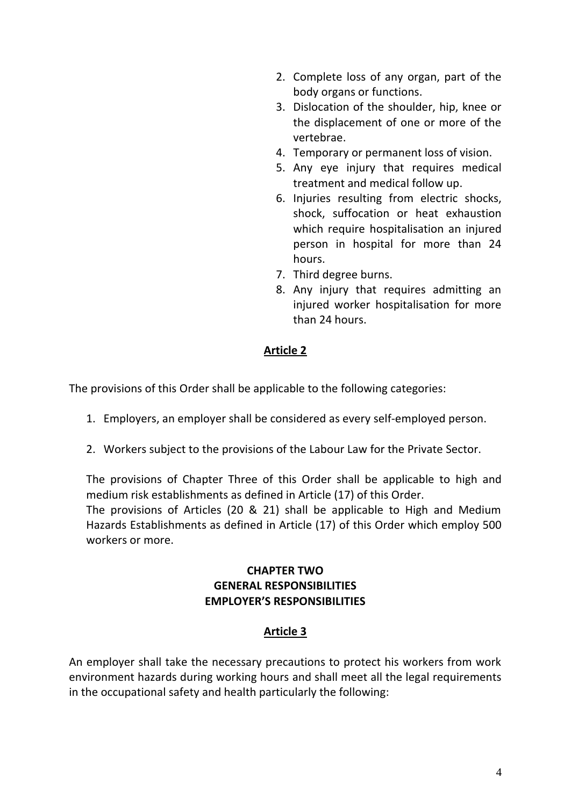- 2. Complete loss of any organ, part of the body organs or functions.
- 3. Dislocation of the shoulder, hip, knee or the displacement of one or more of the vertebrae.
- 4. Temporary or permanent loss of vision.
- 5. Any eye injury that requires medical treatment and medical follow up.
- 6. Injuries resulting from electric shocks, shock, suffocation or heat exhaustion which require hospitalisation an injured person in hospital for more than 24 hours.
- 7. Third degree burns.
- 8. Any injury that requires admitting an injured worker hospitalisation for more than 24 hours.

The provisions of this Order shall be applicable to the following categories:

- 1. Employers, an employer shall be considered as every self-employed person.
- 2. Workers subject to the provisions of the Labour Law for the Private Sector.

The provisions of Chapter Three of this Order shall be applicable to high and medium risk establishments as defined in Article (17) of this Order.

The provisions of Articles (20 & 21) shall be applicable to High and Medium Hazards Establishments as defined in Article (17) of this Order which employ 500 workers or more.

# **CHAPTER TWO GENERAL RESPONSIBILITIES EMPLOYER'S RESPONSIBILITIES**

# **Article 3**

An employer shall take the necessary precautions to protect his workers from work environment hazards during working hours and shall meet all the legal requirements in the occupational safety and health particularly the following: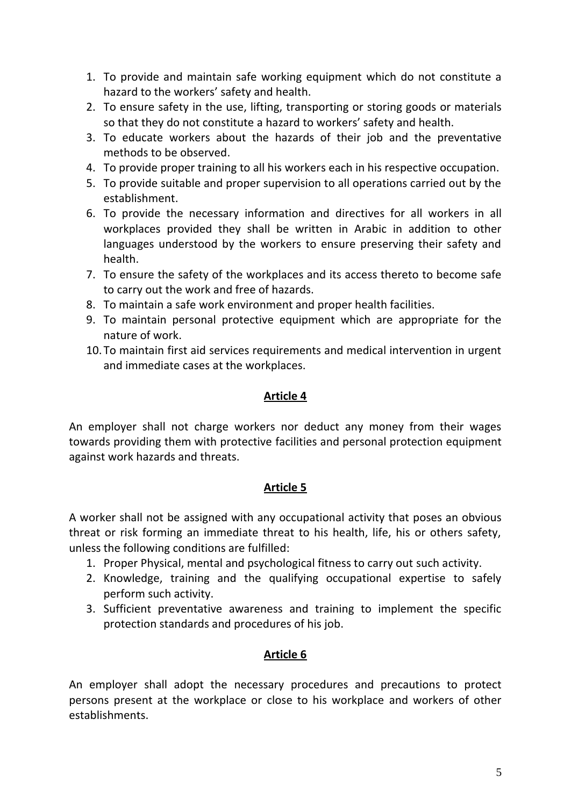- 1. To provide and maintain safe working equipment which do not constitute a hazard to the workers' safety and health.
- 2. To ensure safety in the use, lifting, transporting or storing goods or materials so that they do not constitute a hazard to workers' safety and health.
- 3. To educate workers about the hazards of their job and the preventative methods to be observed.
- 4. To provide proper training to all his workers each in his respective occupation.
- 5. To provide suitable and proper supervision to all operations carried out by the establishment.
- 6. To provide the necessary information and directives for all workers in all workplaces provided they shall be written in Arabic in addition to other languages understood by the workers to ensure preserving their safety and health.
- 7. To ensure the safety of the workplaces and its access thereto to become safe to carry out the work and free of hazards.
- 8. To maintain a safe work environment and proper health facilities.
- 9. To maintain personal protective equipment which are appropriate for the nature of work.
- 10.To maintain first aid services requirements and medical intervention in urgent and immediate cases at the workplaces.

An employer shall not charge workers nor deduct any money from their wages towards providing them with protective facilities and personal protection equipment against work hazards and threats.

#### **Article 5**

A worker shall not be assigned with any occupational activity that poses an obvious threat or risk forming an immediate threat to his health, life, his or others safety, unless the following conditions are fulfilled:

- 1. Proper Physical, mental and psychological fitness to carry out such activity.
- 2. Knowledge, training and the qualifying occupational expertise to safely perform such activity.
- 3. Sufficient preventative awareness and training to implement the specific protection standards and procedures of his job.

# **Article 6**

An employer shall adopt the necessary procedures and precautions to protect persons present at the workplace or close to his workplace and workers of other establishments.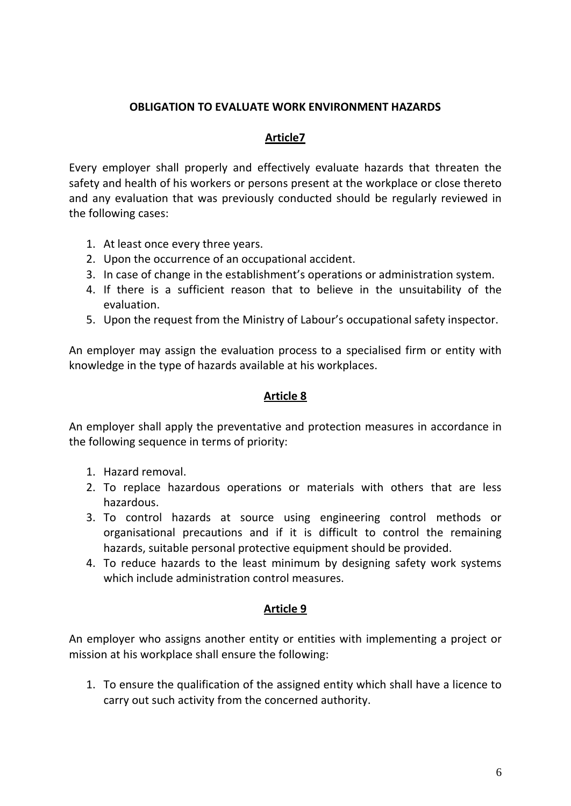#### **OBLIGATION TO EVALUATE WORK ENVIRONMENT HAZARDS**

# **Article7**

Every employer shall properly and effectively evaluate hazards that threaten the safety and health of his workers or persons present at the workplace or close thereto and any evaluation that was previously conducted should be regularly reviewed in the following cases:

- 1. At least once every three years.
- 2. Upon the occurrence of an occupational accident.
- 3. In case of change in the establishment's operations or administration system.
- 4. If there is a sufficient reason that to believe in the unsuitability of the evaluation.
- 5. Upon the request from the Ministry of Labour's occupational safety inspector.

An employer may assign the evaluation process to a specialised firm or entity with knowledge in the type of hazards available at his workplaces.

### **Article 8**

An employer shall apply the preventative and protection measures in accordance in the following sequence in terms of priority:

- 1. Hazard removal.
- 2. To replace hazardous operations or materials with others that are less hazardous.
- 3. To control hazards at source using engineering control methods or organisational precautions and if it is difficult to control the remaining hazards, suitable personal protective equipment should be provided.
- 4. To reduce hazards to the least minimum by designing safety work systems which include administration control measures.

# **Article 9**

An employer who assigns another entity or entities with implementing a project or mission at his workplace shall ensure the following:

1. To ensure the qualification of the assigned entity which shall have a licence to carry out such activity from the concerned authority.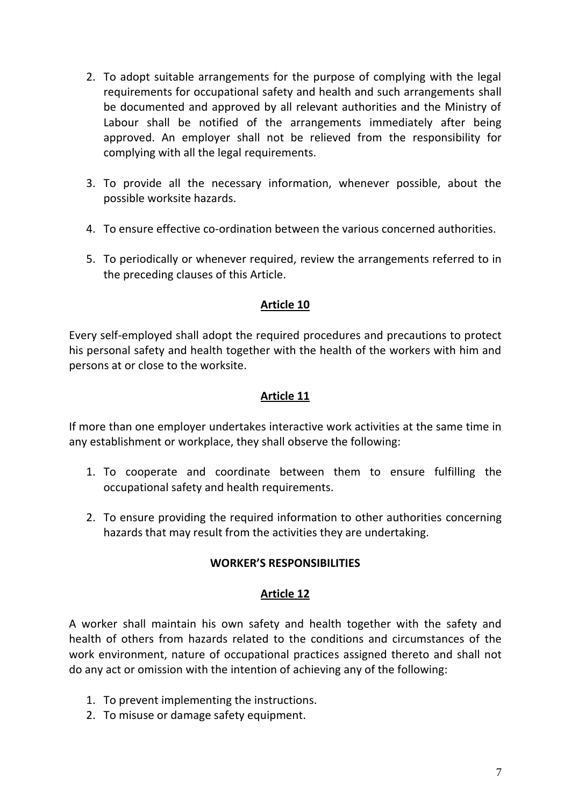- 2. To adopt suitable arrangements for the purpose of complying with the legal requirements for occupational safety and health and such arrangements shall be documented and approved by all relevant authorities and the Ministry of Labour shall be notified of the arrangements immediately after being approved. An employer shall not be relieved from the responsibility for complying with all the legal requirements.
- 3. To provide all the necessary information, whenever possible, about the possible worksite hazards.
- 4. To ensure effective co-ordination between the various concerned authorities.
- 5. To periodically or whenever required, review the arrangements referred to in the preceding clauses of this Article.

Every self-employed shall adopt the required procedures and precautions to protect his personal safety and health together with the health of the workers with him and persons at or close to the worksite.

#### **Article 11**

If more than one employer undertakes interactive work activities at the same time in any establishment or workplace, they shall observe the following:

- 1. To cooperate and coordinate between them to ensure fulfilling the occupational safety and health requirements.
- 2. To ensure providing the required information to other authorities concerning hazards that may result from the activities they are undertaking.

#### **WORKER'S RESPONSIBILITIES**

#### **Article 12**

A worker shall maintain his own safety and health together with the safety and health of others from hazards related to the conditions and circumstances of the work environment, nature of occupational practices assigned thereto and shall not do any act or omission with the intention of achieving any of the following:

- 1. To prevent implementing the instructions.
- 2. To misuse or damage safety equipment.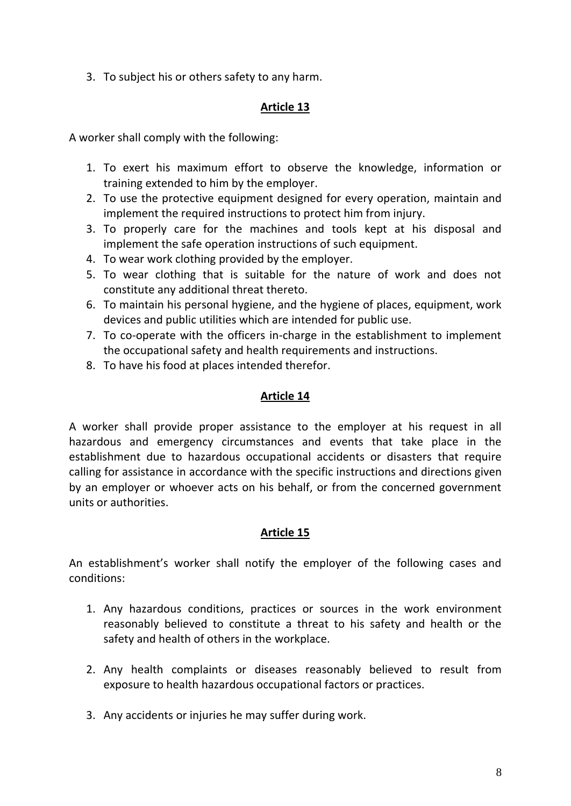3. To subject his or others safety to any harm.

# **Article 13**

A worker shall comply with the following:

- 1. To exert his maximum effort to observe the knowledge, information or training extended to him by the employer.
- 2. To use the protective equipment designed for every operation, maintain and implement the required instructions to protect him from injury.
- 3. To properly care for the machines and tools kept at his disposal and implement the safe operation instructions of such equipment.
- 4. To wear work clothing provided by the employer.
- 5. To wear clothing that is suitable for the nature of work and does not constitute any additional threat thereto.
- 6. To maintain his personal hygiene, and the hygiene of places, equipment, work devices and public utilities which are intended for public use.
- 7. To co-operate with the officers in-charge in the establishment to implement the occupational safety and health requirements and instructions.
- 8. To have his food at places intended therefor.

# **Article 14**

A worker shall provide proper assistance to the employer at his request in all hazardous and emergency circumstances and events that take place in the establishment due to hazardous occupational accidents or disasters that require calling for assistance in accordance with the specific instructions and directions given by an employer or whoever acts on his behalf, or from the concerned government units or authorities.

# **Article 15**

An establishment's worker shall notify the employer of the following cases and conditions:

- 1. Any hazardous conditions, practices or sources in the work environment reasonably believed to constitute a threat to his safety and health or the safety and health of others in the workplace.
- 2. Any health complaints or diseases reasonably believed to result from exposure to health hazardous occupational factors or practices.
- 3. Any accidents or injuries he may suffer during work.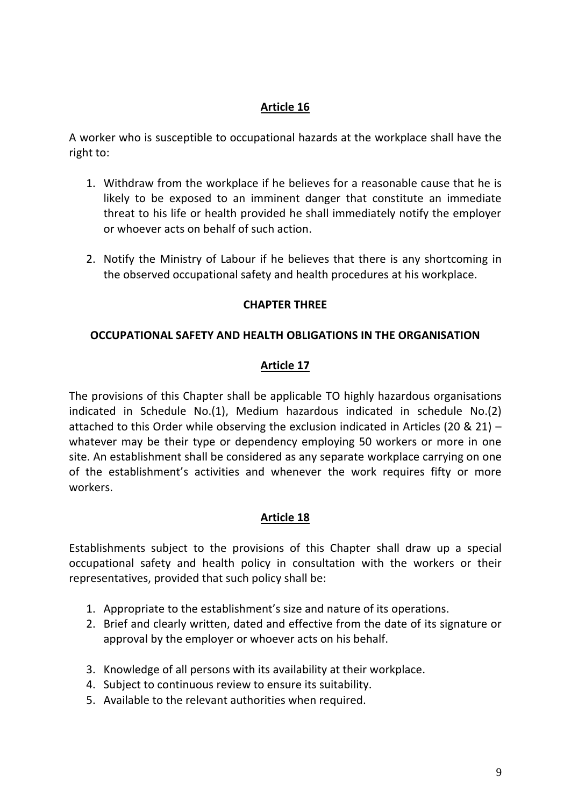A worker who is susceptible to occupational hazards at the workplace shall have the right to:

- 1. Withdraw from the workplace if he believes for a reasonable cause that he is likely to be exposed to an imminent danger that constitute an immediate threat to his life or health provided he shall immediately notify the employer or whoever acts on behalf of such action.
- 2. Notify the Ministry of Labour if he believes that there is any shortcoming in the observed occupational safety and health procedures at his workplace.

#### **CHAPTER THREE**

#### **OCCUPATIONAL SAFETY AND HEALTH OBLIGATIONS IN THE ORGANISATION**

#### **Article 17**

The provisions of this Chapter shall be applicable TO highly hazardous organisations indicated in Schedule No.(1), Medium hazardous indicated in schedule No.(2) attached to this Order while observing the exclusion indicated in Articles (20 & 21) – whatever may be their type or dependency employing 50 workers or more in one site. An establishment shall be considered as any separate workplace carrying on one of the establishment's activities and whenever the work requires fifty or more workers.

#### **Article 18**

Establishments subject to the provisions of this Chapter shall draw up a special occupational safety and health policy in consultation with the workers or their representatives, provided that such policy shall be:

- 1. Appropriate to the establishment's size and nature of its operations.
- 2. Brief and clearly written, dated and effective from the date of its signature or approval by the employer or whoever acts on his behalf.
- 3. Knowledge of all persons with its availability at their workplace.
- 4. Subject to continuous review to ensure its suitability.
- 5. Available to the relevant authorities when required.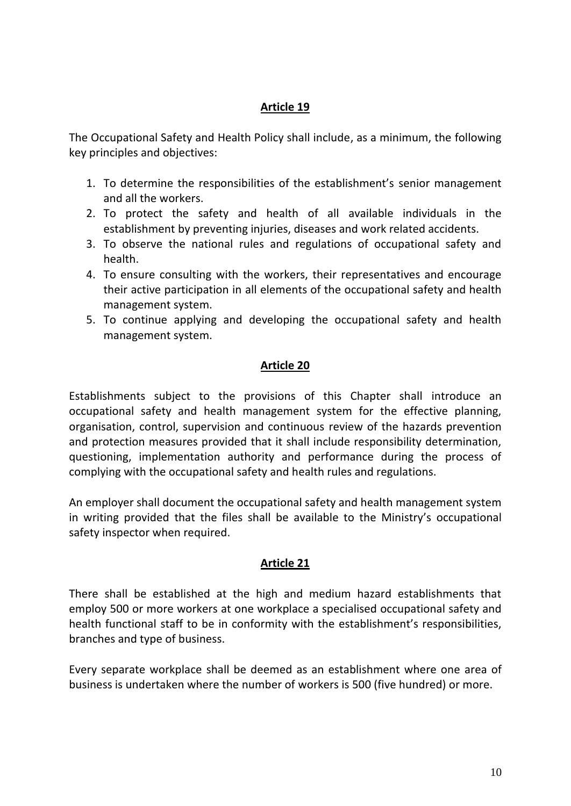The Occupational Safety and Health Policy shall include, as a minimum, the following key principles and objectives:

- 1. To determine the responsibilities of the establishment's senior management and all the workers.
- 2. To protect the safety and health of all available individuals in the establishment by preventing injuries, diseases and work related accidents.
- 3. To observe the national rules and regulations of occupational safety and health.
- 4. To ensure consulting with the workers, their representatives and encourage their active participation in all elements of the occupational safety and health management system.
- 5. To continue applying and developing the occupational safety and health management system.

#### **Article 20**

Establishments subject to the provisions of this Chapter shall introduce an occupational safety and health management system for the effective planning, organisation, control, supervision and continuous review of the hazards prevention and protection measures provided that it shall include responsibility determination, questioning, implementation authority and performance during the process of complying with the occupational safety and health rules and regulations.

An employer shall document the occupational safety and health management system in writing provided that the files shall be available to the Ministry's occupational safety inspector when required.

#### **Article 21**

There shall be established at the high and medium hazard establishments that employ 500 or more workers at one workplace a specialised occupational safety and health functional staff to be in conformity with the establishment's responsibilities, branches and type of business.

Every separate workplace shall be deemed as an establishment where one area of business is undertaken where the number of workers is 500 (five hundred) or more.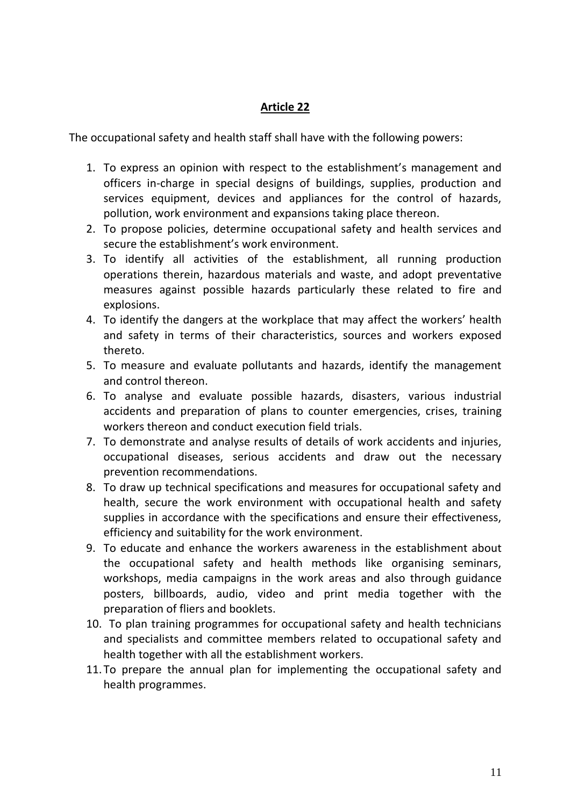The occupational safety and health staff shall have with the following powers:

- 1. To express an opinion with respect to the establishment's management and officers in-charge in special designs of buildings, supplies, production and services equipment, devices and appliances for the control of hazards, pollution, work environment and expansions taking place thereon.
- 2. To propose policies, determine occupational safety and health services and secure the establishment's work environment.
- 3. To identify all activities of the establishment, all running production operations therein, hazardous materials and waste, and adopt preventative measures against possible hazards particularly these related to fire and explosions.
- 4. To identify the dangers at the workplace that may affect the workers' health and safety in terms of their characteristics, sources and workers exposed thereto.
- 5. To measure and evaluate pollutants and hazards, identify the management and control thereon.
- 6. To analyse and evaluate possible hazards, disasters, various industrial accidents and preparation of plans to counter emergencies, crises, training workers thereon and conduct execution field trials.
- 7. To demonstrate and analyse results of details of work accidents and injuries, occupational diseases, serious accidents and draw out the necessary prevention recommendations.
- 8. To draw up technical specifications and measures for occupational safety and health, secure the work environment with occupational health and safety supplies in accordance with the specifications and ensure their effectiveness, efficiency and suitability for the work environment.
- 9. To educate and enhance the workers awareness in the establishment about the occupational safety and health methods like organising seminars, workshops, media campaigns in the work areas and also through guidance posters, billboards, audio, video and print media together with the preparation of fliers and booklets.
- 10. To plan training programmes for occupational safety and health technicians and specialists and committee members related to occupational safety and health together with all the establishment workers.
- 11.To prepare the annual plan for implementing the occupational safety and health programmes.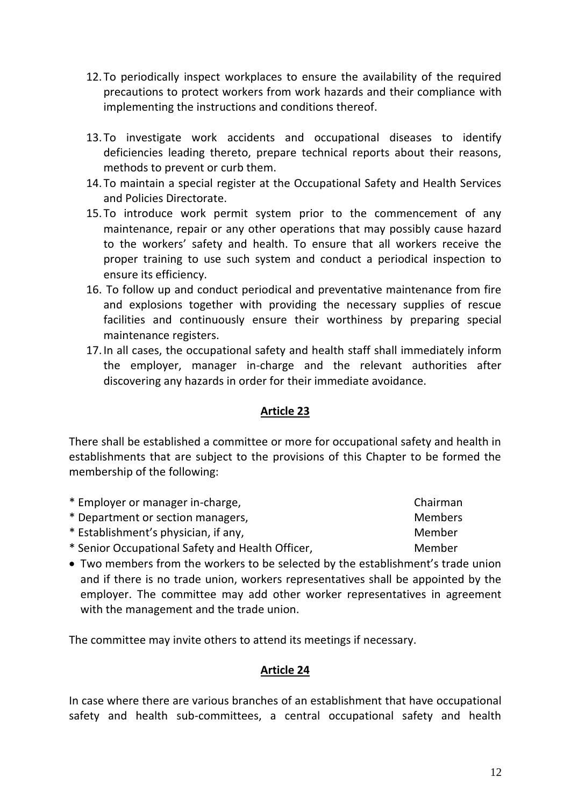the employer, manager in-charge and the relevant authorities after

#### **Article 23**

There shall be established a committee or more for occupational safety and health in establishments that are subject to the provisions of this Chapter to be formed the membership of the following:

| * Employer or manager in-charge,                                            | Chairman       |
|-----------------------------------------------------------------------------|----------------|
| * Department or section managers,                                           | <b>Members</b> |
| * Establishment's physician, if any,                                        | Member         |
| * Senior Occupational Safety and Health Officer,                            | Member         |
| a Turo mambare from the warkers to be selected by the establishment's trade |                |

 Two members from the workers to be selected by the establishment's trade union and if there is no trade union, workers representatives shall be appointed by the employer. The committee may add other worker representatives in agreement with the management and the trade union.

The committee may invite others to attend its meetings if necessary.

#### **Article 24**

In case where there are various branches of an establishment that have occupational safety and health sub-committees, a central occupational safety and health

- 13.To investigate work accidents and occupational diseases to identify deficiencies leading thereto, prepare technical reports about their reasons, methods to prevent or curb them.
- 14.To maintain a special register at the Occupational Safety and Health Services and Policies Directorate.
- 15.To introduce work permit system prior to the commencement of any maintenance, repair or any other operations that may possibly cause hazard to the workers' safety and health. To ensure that all workers receive the proper training to use such system and conduct a periodical inspection to ensure its efficiency.
- and explosions together with providing the necessary supplies of rescue facilities and continuously ensure their worthiness by preparing special maintenance registers. 17.In all cases, the occupational safety and health staff shall immediately inform

16. To follow up and conduct periodical and preventative maintenance from fire

discovering any hazards in order for their immediate avoidance.

12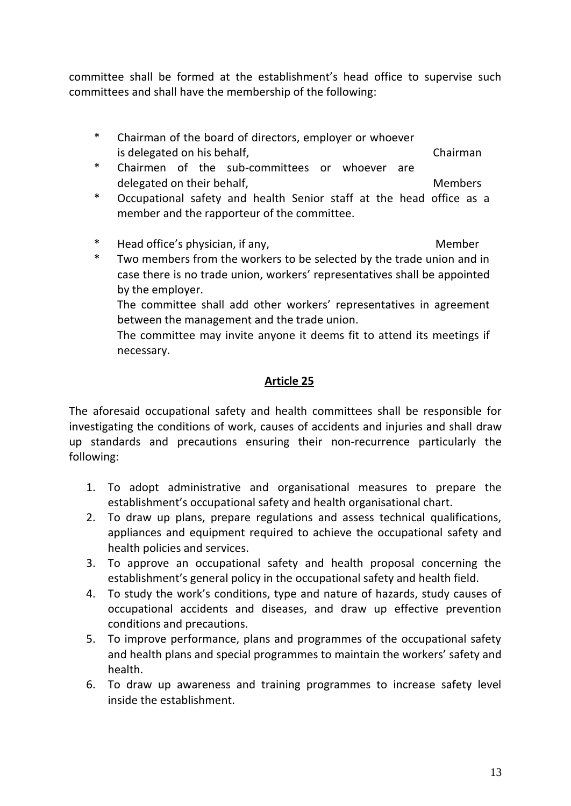committee shall be formed at the establishment's head office to supervise such committees and shall have the membership of the following:

- \* Chairman of the board of directors, employer or whoever is delegated on his behalf, the contraction of the chairman
- \* Chairmen of the sub-committees or whoever are delegated on their behalf, The Members and Members
- Occupational safety and health Senior staff at the head office as a member and the rapporteur of the committee.
- \* Head office's physician, if any, Nember and Member
- \* Two members from the workers to be selected by the trade union and in case there is no trade union, workers' representatives shall be appointed by the employer.

The committee shall add other workers' representatives in agreement between the management and the trade union.

The committee may invite anyone it deems fit to attend its meetings if necessary.

# **Article 25**

The aforesaid occupational safety and health committees shall be responsible for investigating the conditions of work, causes of accidents and injuries and shall draw up standards and precautions ensuring their non-recurrence particularly the following:

- 1. To adopt administrative and organisational measures to prepare the establishment's occupational safety and health organisational chart.
- 2. To draw up plans, prepare regulations and assess technical qualifications, appliances and equipment required to achieve the occupational safety and health policies and services.
- 3. To approve an occupational safety and health proposal concerning the establishment's general policy in the occupational safety and health field.
- 4. To study the work's conditions, type and nature of hazards, study causes of occupational accidents and diseases, and draw up effective prevention conditions and precautions.
- 5. To improve performance, plans and programmes of the occupational safety and health plans and special programmes to maintain the workers' safety and health.
- 6. To draw up awareness and training programmes to increase safety level inside the establishment.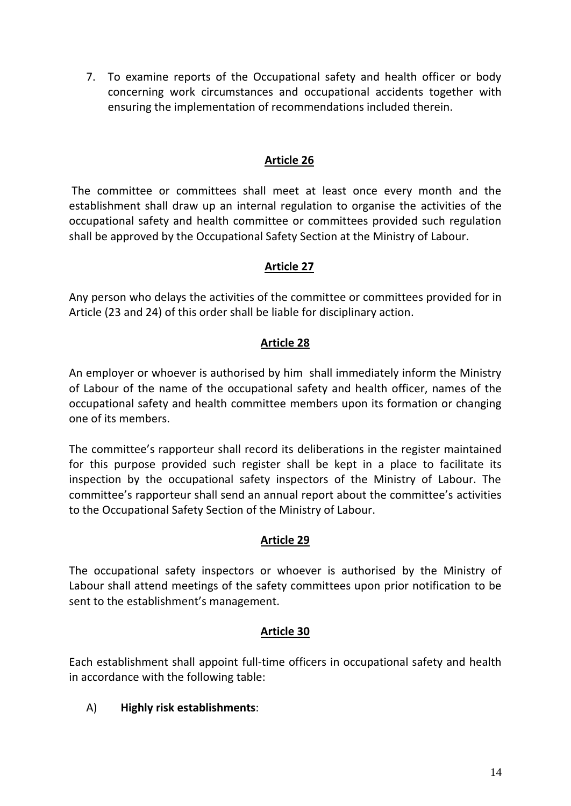7. To examine reports of the Occupational safety and health officer or body concerning work circumstances and occupational accidents together with ensuring the implementation of recommendations included therein.

### **Article 26**

The committee or committees shall meet at least once every month and the establishment shall draw up an internal regulation to organise the activities of the occupational safety and health committee or committees provided such regulation shall be approved by the Occupational Safety Section at the Ministry of Labour.

# **Article 27**

Any person who delays the activities of the committee or committees provided for in Article (23 and 24) of this order shall be liable for disciplinary action.

# **Article 28**

An employer or whoever is authorised by him shall immediately inform the Ministry of Labour of the name of the occupational safety and health officer, names of the occupational safety and health committee members upon its formation or changing one of its members.

The committee's rapporteur shall record its deliberations in the register maintained for this purpose provided such register shall be kept in a place to facilitate its inspection by the occupational safety inspectors of the Ministry of Labour. The committee's rapporteur shall send an annual report about the committee's activities to the Occupational Safety Section of the Ministry of Labour.

#### **Article 29**

The occupational safety inspectors or whoever is authorised by the Ministry of Labour shall attend meetings of the safety committees upon prior notification to be sent to the establishment's management.

#### **Article 30**

Each establishment shall appoint full-time officers in occupational safety and health in accordance with the following table:

# A) **Highly risk establishments**: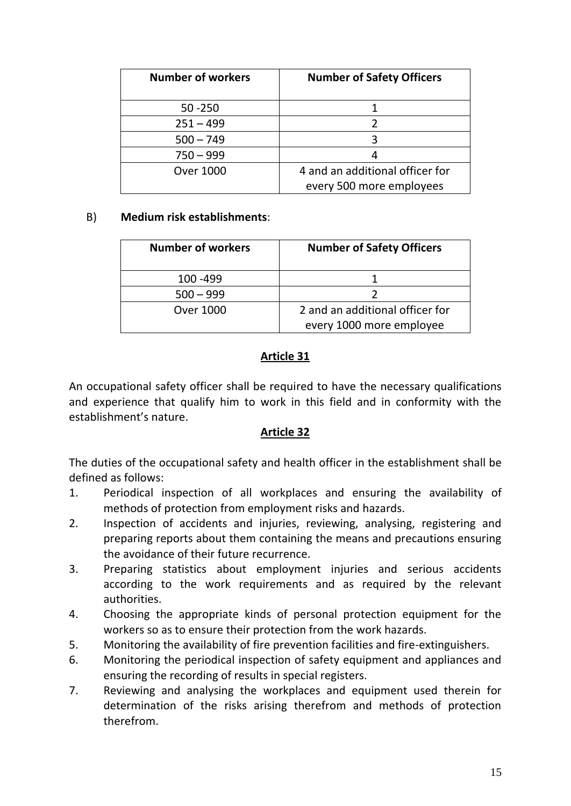| <b>Number of workers</b> | <b>Number of Safety Officers</b> |
|--------------------------|----------------------------------|
| $50 - 250$               |                                  |
| $251 - 499$              |                                  |
| $500 - 749$              |                                  |
| $750 - 999$              |                                  |
| <b>Over 1000</b>         | 4 and an additional officer for  |
|                          | every 500 more employees         |

#### B) **Medium risk establishments**:

| <b>Number of workers</b> | <b>Number of Safety Officers</b> |
|--------------------------|----------------------------------|
| 100 - 499                |                                  |
| $500 - 999$              |                                  |
| Over 1000                | 2 and an additional officer for  |
|                          | every 1000 more employee         |

# **Article 31**

An occupational safety officer shall be required to have the necessary qualifications and experience that qualify him to work in this field and in conformity with the establishment's nature.

#### **Article 32**

The duties of the occupational safety and health officer in the establishment shall be defined as follows:

- 1. Periodical inspection of all workplaces and ensuring the availability of methods of protection from employment risks and hazards.
- 2. Inspection of accidents and injuries, reviewing, analysing, registering and preparing reports about them containing the means and precautions ensuring the avoidance of their future recurrence.
- 3. Preparing statistics about employment injuries and serious accidents according to the work requirements and as required by the relevant authorities.
- 4. Choosing the appropriate kinds of personal protection equipment for the workers so as to ensure their protection from the work hazards.
- 5. Monitoring the availability of fire prevention facilities and fire-extinguishers.
- 6. Monitoring the periodical inspection of safety equipment and appliances and ensuring the recording of results in special registers.
- 7. Reviewing and analysing the workplaces and equipment used therein for determination of the risks arising therefrom and methods of protection therefrom.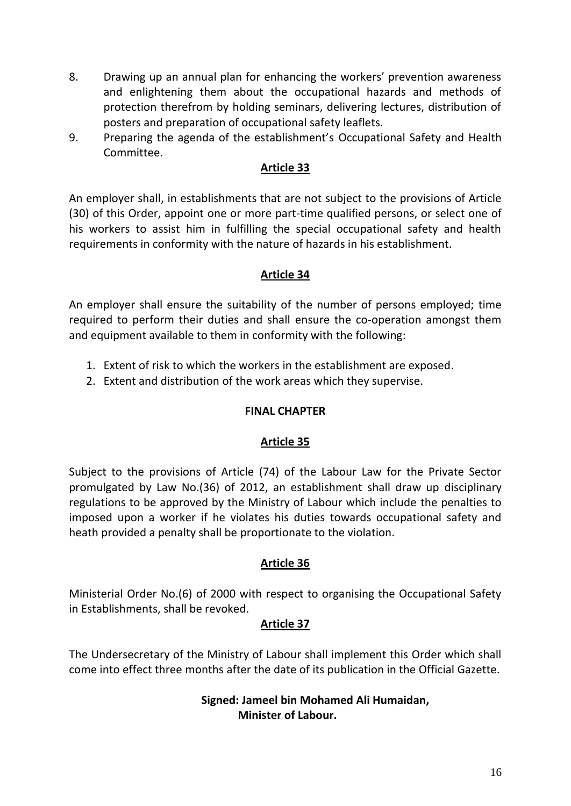- 8. Drawing up an annual plan for enhancing the workers' prevention awareness and enlightening them about the occupational hazards and methods of protection therefrom by holding seminars, delivering lectures, distribution of posters and preparation of occupational safety leaflets.
- 9. Preparing the agenda of the establishment's Occupational Safety and Health Committee.

An employer shall, in establishments that are not subject to the provisions of Article (30) of this Order, appoint one or more part-time qualified persons, or select one of his workers to assist him in fulfilling the special occupational safety and health requirements in conformity with the nature of hazards in his establishment.

# **Article 34**

An employer shall ensure the suitability of the number of persons employed; time required to perform their duties and shall ensure the co-operation amongst them and equipment available to them in conformity with the following:

- 1. Extent of risk to which the workers in the establishment are exposed.
- 2. Extent and distribution of the work areas which they supervise.

#### **FINAL CHAPTER**

#### **Article 35**

Subject to the provisions of Article (74) of the Labour Law for the Private Sector promulgated by Law No.(36) of 2012, an establishment shall draw up disciplinary regulations to be approved by the Ministry of Labour which include the penalties to imposed upon a worker if he violates his duties towards occupational safety and heath provided a penalty shall be proportionate to the violation.

#### **Article 36**

Ministerial Order No.(6) of 2000 with respect to organising the Occupational Safety in Establishments, shall be revoked.

#### **Article 37**

The Undersecretary of the Ministry of Labour shall implement this Order which shall come into effect three months after the date of its publication in the Official Gazette.

#### **Signed: Jameel bin Mohamed Ali Humaidan, Minister of Labour.**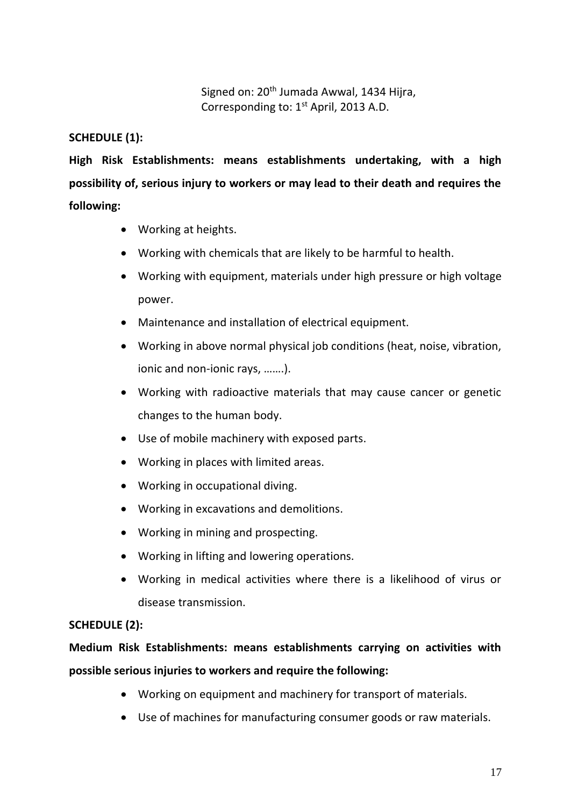Signed on: 20<sup>th</sup> Jumada Awwal, 1434 Hijra, Corresponding to: 1<sup>st</sup> April, 2013 A.D.

### **SCHEDULE (1):**

**High Risk Establishments: means establishments undertaking, with a high possibility of, serious injury to workers or may lead to their death and requires the following:**

- Working at heights.
- Working with chemicals that are likely to be harmful to health.
- Working with equipment, materials under high pressure or high voltage power.
- Maintenance and installation of electrical equipment.
- Working in above normal physical job conditions (heat, noise, vibration, ionic and non-ionic rays, …….).
- Working with radioactive materials that may cause cancer or genetic changes to the human body.
- Use of mobile machinery with exposed parts.
- Working in places with limited areas.
- Working in occupational diving.
- Working in excavations and demolitions.
- Working in mining and prospecting.
- Working in lifting and lowering operations.
- Working in medical activities where there is a likelihood of virus or disease transmission.

#### **SCHEDULE (2):**

# **Medium Risk Establishments: means establishments carrying on activities with possible serious injuries to workers and require the following:**

- Working on equipment and machinery for transport of materials.
- Use of machines for manufacturing consumer goods or raw materials.